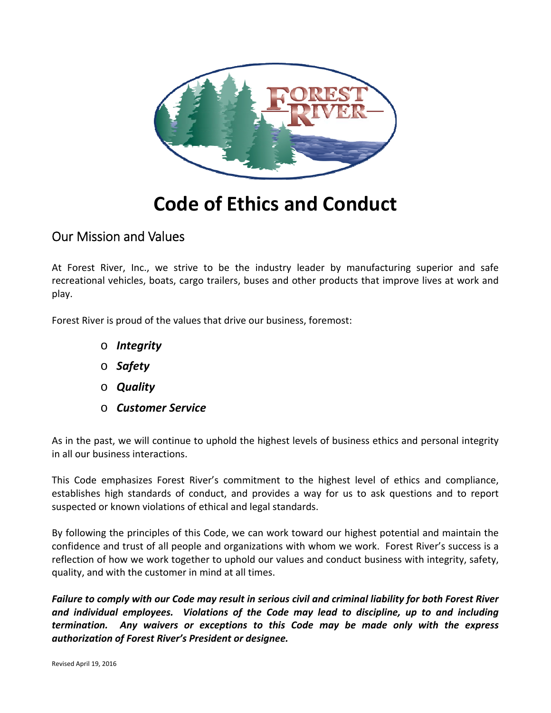

# **Code of Ethics and Conduct**

### Our Mission and Values

At Forest River, Inc., we strive to be the industry leader by manufacturing superior and safe recreational vehicles, boats, cargo trailers, buses and other products that improve lives at work and play.

Forest River is proud of the values that drive our business, foremost:

- o *Integrity*
- o *Safety*
- o *Quality*
- o *Customer Service*

As in the past, we will continue to uphold the highest levels of business ethics and personal integrity in all our business interactions.

This Code emphasizes Forest River's commitment to the highest level of ethics and compliance, establishes high standards of conduct, and provides a way for us to ask questions and to report suspected or known violations of ethical and legal standards.

By following the principles of this Code, we can work toward our highest potential and maintain the confidence and trust of all people and organizations with whom we work. Forest River's success is a reflection of how we work together to uphold our values and conduct business with integrity, safety, quality, and with the customer in mind at all times.

Failure to comply with our Code may result in serious civil and criminal liability for both Forest River *and individual employees. Violations of the Code may lead to discipline, up to and including termination. Any waivers or exceptions to this Code may be made only with the express authorization of Forest River's President or designee.*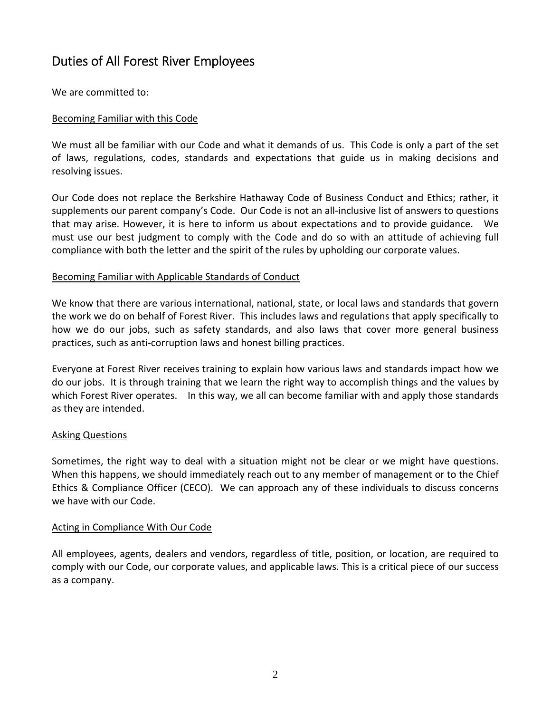### Duties of All Forest River Employees

We are committed to:

#### Becoming Familiar with this Code

We must all be familiar with our Code and what it demands of us. This Code is only a part of the set of laws, regulations, codes, standards and expectations that guide us in making decisions and resolving issues.

Our Code does not replace the Berkshire Hathaway Code of Business Conduct and Ethics; rather, it supplements our parent company's Code. Our Code is not an all-inclusive list of answers to questions that may arise. However, it is here to inform us about expectations and to provide guidance. We must use our best judgment to comply with the Code and do so with an attitude of achieving full compliance with both the letter and the spirit of the rules by upholding our corporate values.

#### Becoming Familiar with Applicable Standards of Conduct

We know that there are various international, national, state, or local laws and standards that govern the work we do on behalf of Forest River. This includes laws and regulations that apply specifically to how we do our jobs, such as safety standards, and also laws that cover more general business practices, such as anti‐corruption laws and honest billing practices.

Everyone at Forest River receives training to explain how various laws and standards impact how we do our jobs. It is through training that we learn the right way to accomplish things and the values by which Forest River operates. In this way, we all can become familiar with and apply those standards as they are intended.

#### Asking Questions

Sometimes, the right way to deal with a situation might not be clear or we might have questions. When this happens, we should immediately reach out to any member of management or to the Chief Ethics & Compliance Officer (CECO). We can approach any of these individuals to discuss concerns we have with our Code.

#### Acting in Compliance With Our Code

All employees, agents, dealers and vendors, regardless of title, position, or location, are required to comply with our Code, our corporate values, and applicable laws. This is a critical piece of our success as a company.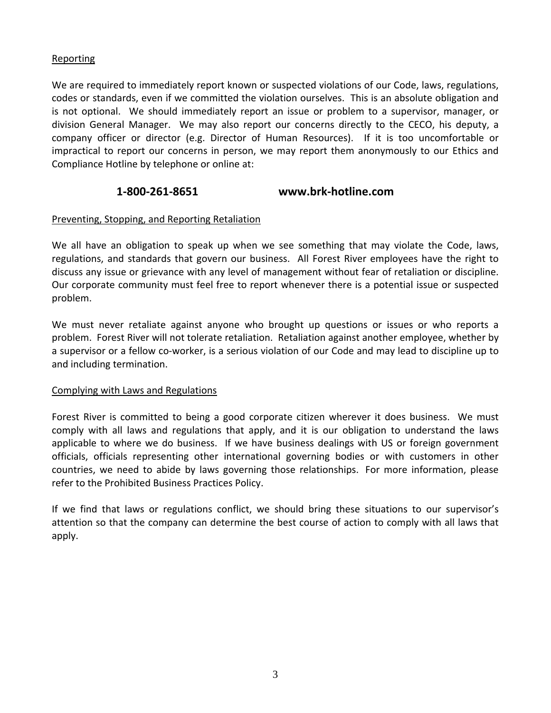#### **Reporting**

We are required to immediately report known or suspected violations of our Code, laws, regulations, codes or standards, even if we committed the violation ourselves. This is an absolute obligation and is not optional. We should immediately report an issue or problem to a supervisor, manager, or division General Manager. We may also report our concerns directly to the CECO, his deputy, a company officer or director (e.g. Director of Human Resources). If it is too uncomfortable or impractical to report our concerns in person, we may report them anonymously to our Ethics and Compliance Hotline by telephone or online at:

#### **1‐800‐261‐8651 www.brk‐hotline.com**

#### Preventing, Stopping, and Reporting Retaliation

We all have an obligation to speak up when we see something that may violate the Code, laws, regulations, and standards that govern our business. All Forest River employees have the right to discuss any issue or grievance with any level of management without fear of retaliation or discipline. Our corporate community must feel free to report whenever there is a potential issue or suspected problem.

We must never retaliate against anyone who brought up questions or issues or who reports a problem. Forest River will not tolerate retaliation. Retaliation against another employee, whether by a supervisor or a fellow co-worker, is a serious violation of our Code and may lead to discipline up to and including termination.

#### Complying with Laws and Regulations

Forest River is committed to being a good corporate citizen wherever it does business. We must comply with all laws and regulations that apply, and it is our obligation to understand the laws applicable to where we do business. If we have business dealings with US or foreign government officials, officials representing other international governing bodies or with customers in other countries, we need to abide by laws governing those relationships. For more information, please refer to the Prohibited Business Practices Policy.

If we find that laws or regulations conflict, we should bring these situations to our supervisor's attention so that the company can determine the best course of action to comply with all laws that apply.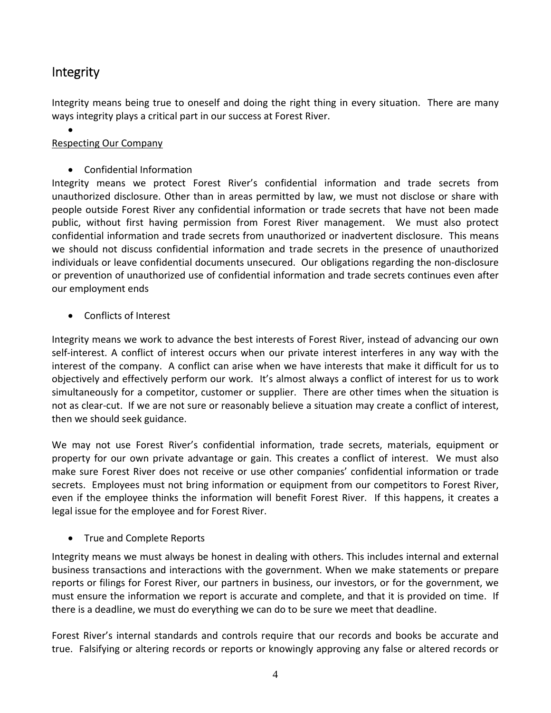### Integrity

Integrity means being true to oneself and doing the right thing in every situation. There are many ways integrity plays a critical part in our success at Forest River.

- $\bullet$ Respecting Our Company
	- Confidential Information

Integrity means we protect Forest River's confidential information and trade secrets from unauthorized disclosure. Other than in areas permitted by law, we must not disclose or share with people outside Forest River any confidential information or trade secrets that have not been made public, without first having permission from Forest River management. We must also protect confidential information and trade secrets from unauthorized or inadvertent disclosure. This means we should not discuss confidential information and trade secrets in the presence of unauthorized individuals or leave confidential documents unsecured. Our obligations regarding the non‐disclosure or prevention of unauthorized use of confidential information and trade secrets continues even after our employment ends

Conflicts of Interest

Integrity means we work to advance the best interests of Forest River, instead of advancing our own self‐interest. A conflict of interest occurs when our private interest interferes in any way with the interest of the company. A conflict can arise when we have interests that make it difficult for us to objectively and effectively perform our work. It's almost always a conflict of interest for us to work simultaneously for a competitor, customer or supplier. There are other times when the situation is not as clear‐cut. If we are not sure or reasonably believe a situation may create a conflict of interest, then we should seek guidance.

We may not use Forest River's confidential information, trade secrets, materials, equipment or property for our own private advantage or gain. This creates a conflict of interest. We must also make sure Forest River does not receive or use other companies' confidential information or trade secrets. Employees must not bring information or equipment from our competitors to Forest River, even if the employee thinks the information will benefit Forest River. If this happens, it creates a legal issue for the employee and for Forest River.

• True and Complete Reports

Integrity means we must always be honest in dealing with others. This includes internal and external business transactions and interactions with the government. When we make statements or prepare reports or filings for Forest River, our partners in business, our investors, or for the government, we must ensure the information we report is accurate and complete, and that it is provided on time. If there is a deadline, we must do everything we can do to be sure we meet that deadline.

Forest River's internal standards and controls require that our records and books be accurate and true. Falsifying or altering records or reports or knowingly approving any false or altered records or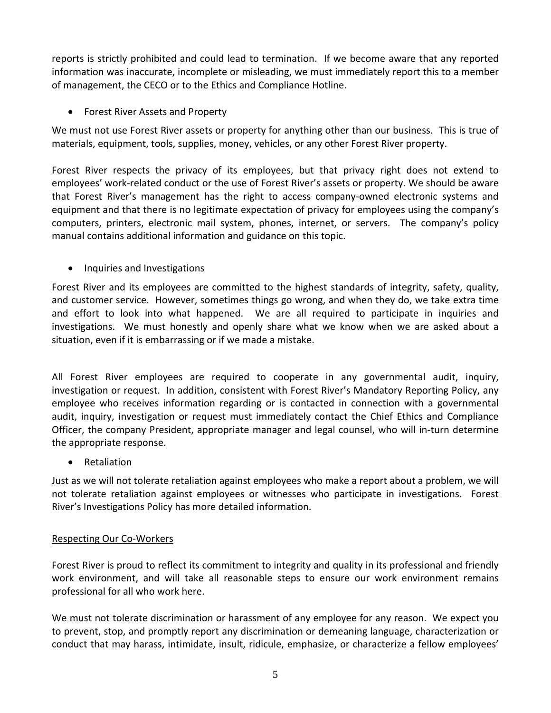reports is strictly prohibited and could lead to termination. If we become aware that any reported information was inaccurate, incomplete or misleading, we must immediately report this to a member of management, the CECO or to the Ethics and Compliance Hotline.

Forest River Assets and Property

We must not use Forest River assets or property for anything other than our business. This is true of materials, equipment, tools, supplies, money, vehicles, or any other Forest River property.

Forest River respects the privacy of its employees, but that privacy right does not extend to employees' work-related conduct or the use of Forest River's assets or property. We should be aware that Forest River's management has the right to access company‐owned electronic systems and equipment and that there is no legitimate expectation of privacy for employees using the company's computers, printers, electronic mail system, phones, internet, or servers. The company's policy manual contains additional information and guidance on this topic.

• Inquiries and Investigations

Forest River and its employees are committed to the highest standards of integrity, safety, quality, and customer service. However, sometimes things go wrong, and when they do, we take extra time and effort to look into what happened. We are all required to participate in inquiries and investigations. We must honestly and openly share what we know when we are asked about a situation, even if it is embarrassing or if we made a mistake.

All Forest River employees are required to cooperate in any governmental audit, inquiry, investigation or request. In addition, consistent with Forest River's Mandatory Reporting Policy, any employee who receives information regarding or is contacted in connection with a governmental audit, inquiry, investigation or request must immediately contact the Chief Ethics and Compliance Officer, the company President, appropriate manager and legal counsel, who will in‐turn determine the appropriate response.

• Retaliation

Just as we will not tolerate retaliation against employees who make a report about a problem, we will not tolerate retaliation against employees or witnesses who participate in investigations. Forest River's Investigations Policy has more detailed information.

#### Respecting Our Co‐Workers

Forest River is proud to reflect its commitment to integrity and quality in its professional and friendly work environment, and will take all reasonable steps to ensure our work environment remains professional for all who work here.

We must not tolerate discrimination or harassment of any employee for any reason. We expect you to prevent, stop, and promptly report any discrimination or demeaning language, characterization or conduct that may harass, intimidate, insult, ridicule, emphasize, or characterize a fellow employees'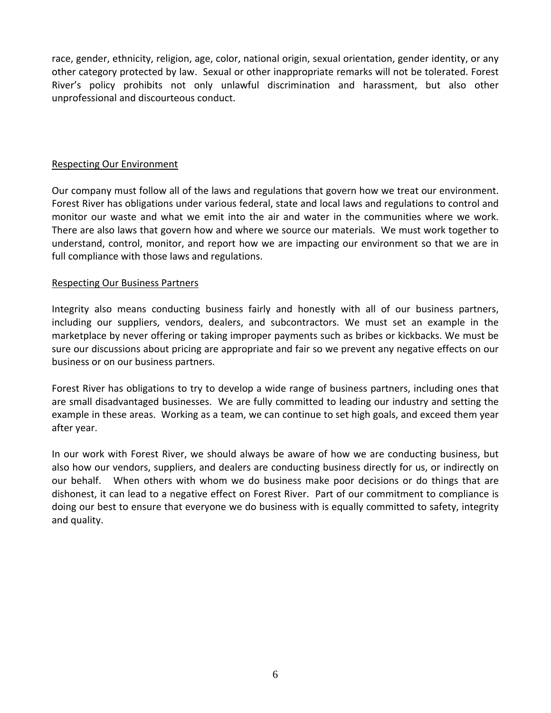race, gender, ethnicity, religion, age, color, national origin, sexual orientation, gender identity, or any other category protected by law. Sexual or other inappropriate remarks will not be tolerated. Forest River's policy prohibits not only unlawful discrimination and harassment, but also other unprofessional and discourteous conduct.

#### Respecting Our Environment

Our company must follow all of the laws and regulations that govern how we treat our environment. Forest River has obligations under various federal, state and local laws and regulations to control and monitor our waste and what we emit into the air and water in the communities where we work. There are also laws that govern how and where we source our materials. We must work together to understand, control, monitor, and report how we are impacting our environment so that we are in full compliance with those laws and regulations.

#### Respecting Our Business Partners

Integrity also means conducting business fairly and honestly with all of our business partners, including our suppliers, vendors, dealers, and subcontractors. We must set an example in the marketplace by never offering or taking improper payments such as bribes or kickbacks. We must be sure our discussions about pricing are appropriate and fair so we prevent any negative effects on our business or on our business partners.

Forest River has obligations to try to develop a wide range of business partners, including ones that are small disadvantaged businesses. We are fully committed to leading our industry and setting the example in these areas. Working as a team, we can continue to set high goals, and exceed them year after year.

In our work with Forest River, we should always be aware of how we are conducting business, but also how our vendors, suppliers, and dealers are conducting business directly for us, or indirectly on our behalf. When others with whom we do business make poor decisions or do things that are dishonest, it can lead to a negative effect on Forest River. Part of our commitment to compliance is doing our best to ensure that everyone we do business with is equally committed to safety, integrity and quality.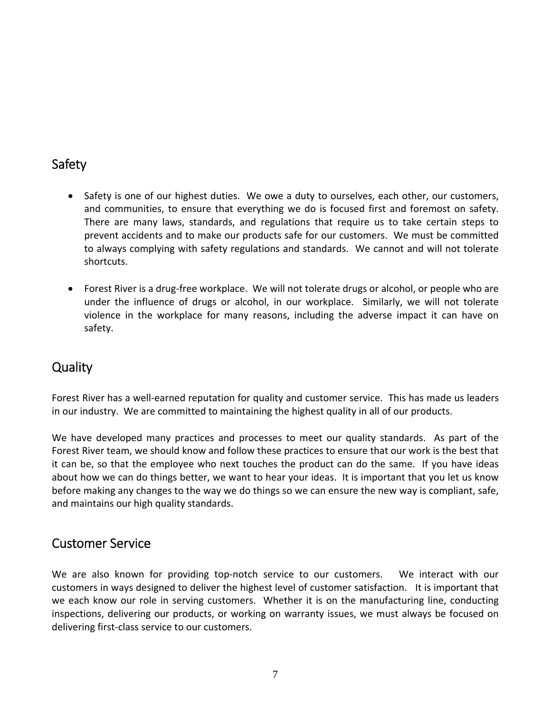### Safety

- Safety is one of our highest duties. We owe a duty to ourselves, each other, our customers, and communities, to ensure that everything we do is focused first and foremost on safety. There are many laws, standards, and regulations that require us to take certain steps to prevent accidents and to make our products safe for our customers. We must be committed to always complying with safety regulations and standards. We cannot and will not tolerate shortcuts.
- Forest River is a drug-free workplace. We will not tolerate drugs or alcohol, or people who are under the influence of drugs or alcohol, in our workplace. Similarly, we will not tolerate violence in the workplace for many reasons, including the adverse impact it can have on safety.

### **Quality**

Forest River has a well‐earned reputation for quality and customer service. This has made us leaders in our industry. We are committed to maintaining the highest quality in all of our products.

We have developed many practices and processes to meet our quality standards. As part of the Forest River team, we should know and follow these practices to ensure that our work is the best that it can be, so that the employee who next touches the product can do the same. If you have ideas about how we can do things better, we want to hear your ideas. It is important that you let us know before making any changes to the way we do things so we can ensure the new way is compliant, safe, and maintains our high quality standards.

### Customer Service

We are also known for providing top-notch service to our customers. We interact with our customers in ways designed to deliver the highest level of customer satisfaction. It is important that we each know our role in serving customers. Whether it is on the manufacturing line, conducting inspections, delivering our products, or working on warranty issues, we must always be focused on delivering first‐class service to our customers.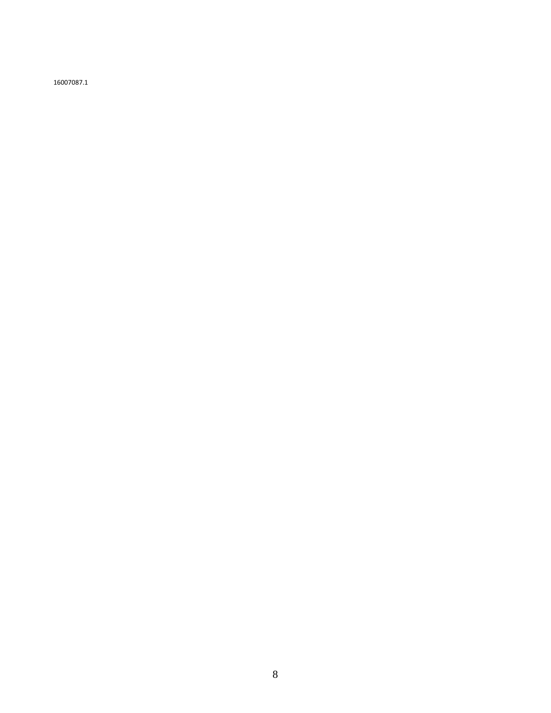16007087.1